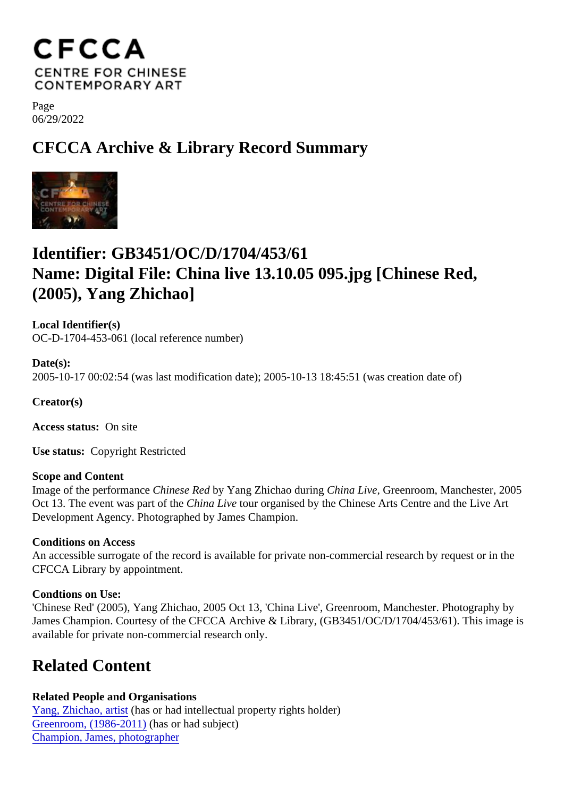Page 06/29/2022

## CFCCA Archive & Library Record Summary

## Identifier: GB3451/OC/D/1704/453/61 Name: Digital File: China live 13.10.05 095.jpg [Chinese Red, (2005), Yang Zhichao]

Local Identifier(s) OC-D-1704-453-061 (local reference number)

Date(s): 2005-10-17 00:02:54 (was last modification date); 2005-10-13 18:45:51 (was creation date of)

Creator(s)

Access status: On site

Use status: Copyright Restricted

Scope and Content

Image of the performanchinese Redy Yang Zhichao during hina Live, Greenroom, Manchester, 2005 Oct 13. The event was part of to the Live tour organised by the Chinese Arts Centre and the Live Art Development Agency. Photographed by James Champion.

Conditions on Access

An accessible surrogate of the record is available for private non-commercial research by request or in the CFCCA Library by appointment.

Condtions on Use:

'Chinese Red' (2005), Yang Zhichao, 2005 Oct 13, 'China Live', Greenroom, Manchester. Photography by James Champion. Courtesy of the CFCCA Archive & Library, (GB3451/OC/D/1704/453/61). This image is available for private non-commercial research only.

## Related Content

Related People and Organisations [Yang, Zhichao, artis](/index.php/Detail/entities/299)thas or had intellectual property rights holder) [Greenroom, \(1986-201](/index.php/Detail/entities/2997)1)has or had subject) [Champion, James, photograp](/index.php/Detail/entities/4199)her